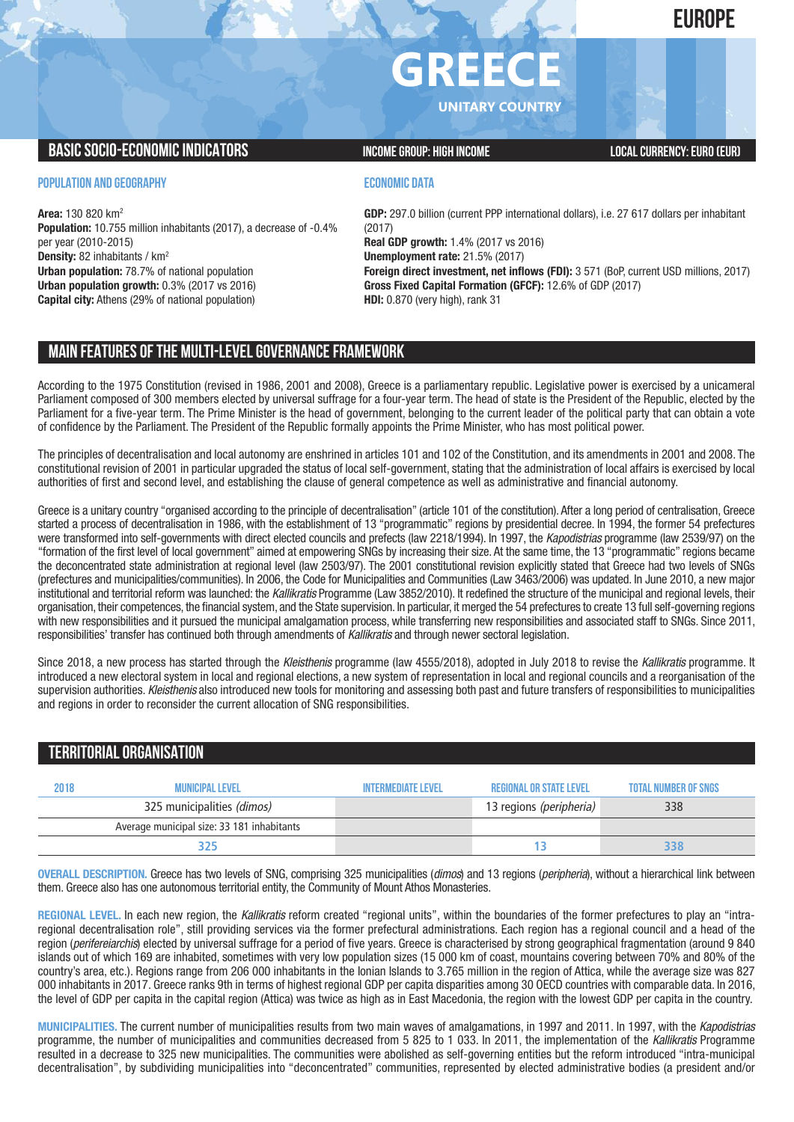**EUROPE**

# **GREECE**

**UNITARY COUNTRY**

## **BASIC SOCIO-ECONOMIC INDICATORS INCOME GROUP:** HIGH INCOME GROUP: HIGH INCOME

## **POPULATION AND GEOGRAPHY**

**Area:** 130 820 km2 **Population:** 10.755 million inhabitants (2017), a decrease of -0.4% per year (2010-2015) **Density:** 82 inhabitants / km2 **Urban population:** 78.7% of national population **Urban population growth:** 0.3% (2017 vs 2016) **Capital city:** Athens (29% of national population)

## **ECONOMIC DATA**

**GDP:** 297.0 billion (current PPP international dollars), i.e. 27 617 dollars per inhabitant (2017) **Real GDP growth:** 1.4% (2017 vs 2016) **Unemployment rate:** 21.5% (2017) **Foreign direct investment, net inflows (FDI):** 3 571 (BoP, current USD millions, 2017) **Gross Fixed Capital Formation (GFCF):** 12.6% of GDP (2017) **HDI:** 0.870 (very high), rank 31

## **MAIN FEATURESOFTHE MULTI-LEVELGOVERNANCEFRAMEWORK**

According to the 1975 Constitution (revised in 1986, 2001 and 2008), Greece is a parliamentary republic. Legislative power is exercised by a unicameral Parliament composed of 300 members elected by universal suffrage for a four-year term. The head of state is the President of the Republic, elected by the Parliament for a five-year term. The Prime Minister is the head of government, belonging to the current leader of the political party that can obtain a vote of confidence by the Parliament. The President of the Republic formally appoints the Prime Minister, who has most political power.

The principles of decentralisation and local autonomy are enshrined in articles 101 and 102 of the Constitution, and its amendments in 2001 and 2008. The constitutional revision of 2001 in particular upgraded the status of local self-government, stating that the administration of local affairs is exercised by local authorities of first and second level, and establishing the clause of general competence as well as administrative and financial autonomy.

Greece is a unitary country "organised according to the principle of decentralisation" (article 101 of the constitution). After a long period of centralisation, Greece started a process of decentralisation in 1986, with the establishment of 13 "programmatic" regions by presidential decree. In 1994, the former 54 prefectures were transformed into self-governments with direct elected councils and prefects (law 2218/1994). In 1997, the *Kapodistrias* programme (law 2539/97) on the "formation of the first level of local government" aimed at empowering SNGs by increasing their size. At the same time, the 13 "programmatic" regions became the deconcentrated state administration at regional level (law 2503/97). The 2001 constitutional revision explicitly stated that Greece had two levels of SNGs (prefectures and municipalities/communities). In 2006, the Code for Municipalities and Communities (Law 3463/2006) was updated. In June 2010, a new major institutional and territorial reform was launched: the *Kallikratis* Programme (Law 3852/2010). It redefined the structure of the municipal and regional levels, their organisation, their competences, the financial system, and the State supervision. In particular, it merged the 54 prefectures to create 13 full self-governing regions with new responsibilities and it pursued the municipal amalgamation process, while transferring new responsibilities and associated staff to SNGs. Since 2011, responsibilities' transfer has continued both through amendments of *Kallikratis* and through newer sectoral legislation.

Since 2018, a new process has started through the *Kleisthenis* programme (law 4555/2018), adopted in July 2018 to revise the *Kallikratis* programme. It introduced a new electoral system in local and regional elections, a new system of representation in local and regional councils and a reorganisation of the supervision authorities. *Kleisthenis* also introduced new tools for monitoring and assessing both past and future transfers of responsibilities to municipalities and regions in order to reconsider the current allocation of SNG responsibilities.

## **TERRITORIALORGANISATION**

| 2018 | MUNICIPAL LEVEL                            | <b>INTERMEDIATE LEVEL</b> | <b>REGIONAL OR STATE LEVEL</b> | <b>TOTAL NUMBER OF SNGS</b> |
|------|--------------------------------------------|---------------------------|--------------------------------|-----------------------------|
|      | 325 municipalities (dimos)                 |                           | 13 regions (peripheria)        | 338                         |
|      | Average municipal size: 33 181 inhabitants |                           |                                |                             |
|      |                                            |                           |                                |                             |

**OVERALL DESCRIPTION.** Greece has two levels of SNG, comprising 325 municipalities (*dimos*) and 13 regions (*peripheria*), without a hierarchical link between them. Greece also has one autonomous territorial entity, the Community of Mount Athos Monasteries.

**REGIONAL LEVEL.** In each new region, the *Kallikratis* reform created "regional units", within the boundaries of the former prefectures to play an "intraregional decentralisation role", still providing services via the former prefectural administrations. Each region has a regional council and a head of the region (*perifereiarchis*) elected by universal suffrage for a period of five years. Greece is characterised by strong geographical fragmentation (around 9 840 islands out of which 169 are inhabited, sometimes with very low population sizes (15 000 km of coast, mountains covering between 70% and 80% of the country's area, etc.). Regions range from 206 000 inhabitants in the Ionian Islands to 3.765 million in the region of Attica, while the average size was 827 000 inhabitants in 2017. Greece ranks 9th in terms of highest regional GDP per capita disparities among 30 OECD countries with comparable data. In 2016, the level of GDP per capita in the capital region (Attica) was twice as high as in East Macedonia, the region with the lowest GDP per capita in the country.

**MUNICIPALITIES.** The current number of municipalities results from two main waves of amalgamations, in 1997 and 2011. In 1997, with the *Kapodistrias* programme, the number of municipalities and communities decreased from 5 825 to 1 033. In 2011, the implementation of the *Kallikratis* Programme resulted in a decrease to 325 new municipalities. The communities were abolished as self-governing entities but the reform introduced "intra-municipal decentralisation", by subdividing municipalities into "deconcentrated" communities, represented by elected administrative bodies (a president and/or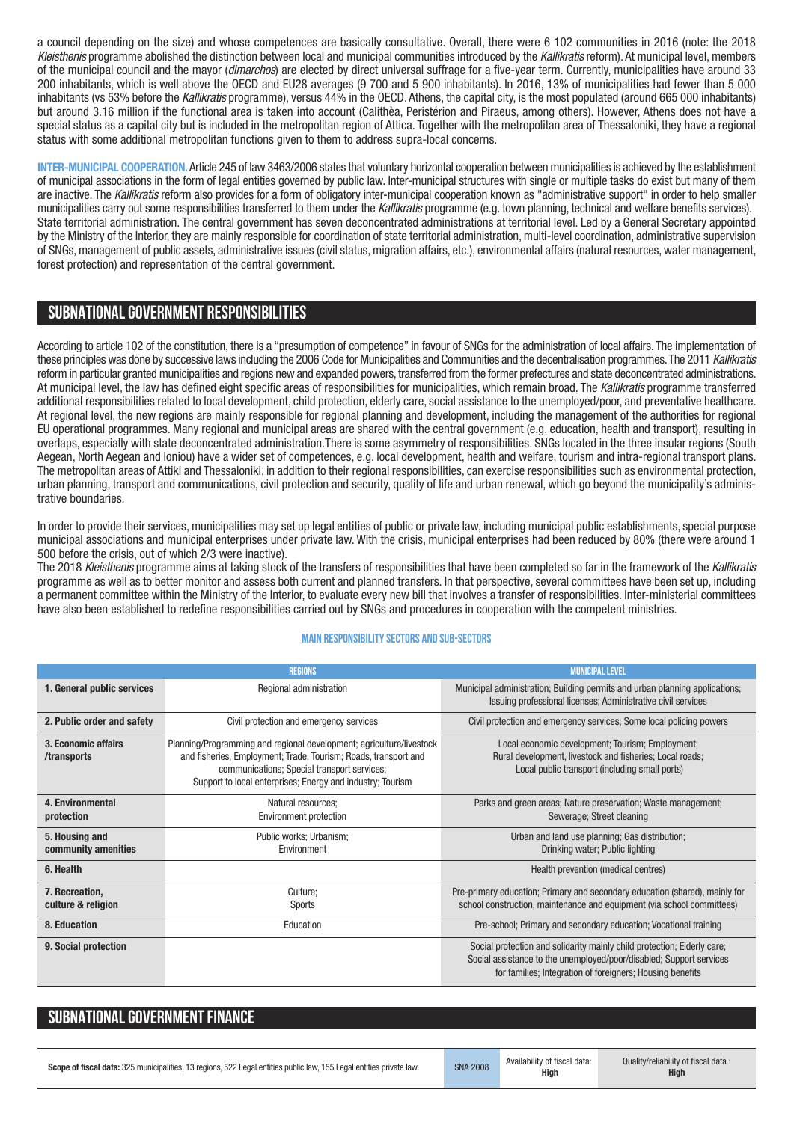a council depending on the size) and whose competences are basically consultative. Overall, there were 6 102 communities in 2016 (note: the 2018 *Kleisthenis* programme abolished the distinction between local and municipal communities introduced by the *Kallikratis* reform). At municipal level, members of the municipal council and the mayor (*dimarchos*) are elected by direct universal suffrage for a five-year term. Currently, municipalities have around 33 200 inhabitants, which is well above the OECD and EU28 averages (9 700 and 5 900 inhabitants). In 2016, 13% of municipalities had fewer than 5 000 inhabitants (vs 53% before the *Kallikratis* programme), versus 44% in the OECD. Athens, the capital city, is the most populated (around 665 000 inhabitants) but around 3.16 million if the functional area is taken into account (Calithèa, Peristérion and Piraeus, among others). However, Athens does not have a special status as a capital city but is included in the metropolitan region of Attica. Together with the metropolitan area of Thessaloniki, they have a regional status with some additional metropolitan functions given to them to address supra-local concerns.

**INTER-MUNICIPAL COOPERATION.**Article 245 of law 3463/2006 states that voluntary horizontal cooperation between municipalities is achieved by the establishment of municipal associations in the form of legal entities governed by public law. Inter-municipal structures with single or multiple tasks do exist but many of them are inactive. The *Kallikratis* reform also provides for a form of obligatory inter-municipal cooperation known as "administrative support" in order to help smaller municipalities carry out some responsibilities transferred to them under the *Kallikratis* programme (e.g. town planning, technical and welfare benefits services). State territorial administration. The central government has seven deconcentrated administrations at territorial level. Led by a General Secretary appointed by the Ministry of the Interior, they are mainly responsible for coordination of state territorial administration, multi-level coordination, administrative supervision of SNGs, management of public assets, administrative issues (civil status, migration affairs, etc.), environmental affairs (natural resources,water management, forest protection) and representation of the central government.

## **SUBNATIONALGOVERNMENT RESPONSIBILITIES**

According to article 102 of the constitution, there is a "presumption of competence" in favour of SNGs for the administration of local affairs. The implementation of these principleswas done by successive laws including the 2006 Code for Municipalities and Communities and the decentralisation programmes.The 2011 *Kallikratis* reform in particular granted municipalities and regions new and expanded powers, transferred from the former prefectures and state deconcentrated administrations. At municipal level, the law has defined eight specific areas of responsibilities for municipalities, which remain broad. The *Kallikratis* programme transferred additional responsibilities related to local development, child protection, elderly care, social assistance to the unemployed/poor, and preventative healthcare. At regional level, the new regions are mainly responsible for regional planning and development, including the management of the authorities for regional EU operational programmes. Many regional and municipal areas are shared with the central government (e.g. education, health and transport), resulting in overlaps, especially with state deconcentrated administration.There is some asymmetry of responsibilities. SNGs located in the three insular regions (South Aegean, North Aegean and Ioniou) have a wider set of competences, e.g. local development, health and welfare, tourism and intra-regional transport plans. The metropolitan areas of Attiki and Thessaloniki, in addition to their regional responsibilities, can exercise responsibilities such as environmental protection, urban planning, transport and communications, civil protection and security, quality of life and urban renewal, which go beyond the municipality's administrative boundaries.

In order to provide their services, municipalities may set up legal entities of public or private law, including municipal public establishments, special purpose municipal associations and municipal enterprises under private law. With the crisis, municipal enterprises had been reduced by 80% (there were around 1 500 before the crisis, out of which 2/3 were inactive).

The 2018 *Kleisthenis* programme aims at taking stock of the transfers of responsibilities that have been completed so far in the framework of the *Kallikratis* programme as well as to better monitor and assess both current and planned transfers. In that perspective, several committees have been set up, including a permanent committee within the Ministry of the Interior, to evaluate every new bill that involves a transfer of responsibilities. Inter-ministerial committees have also been established to redefine responsibilities carried out by SNGs and procedures in cooperation with the competent ministries.

### **Main responsibilitysectors and sub-sectors**

|                                       | <b>REGIONS</b>                                                                                                                                                                                                                                       | <b>MUNICIPAL LEVEL</b>                                                                                                                                                                                      |
|---------------------------------------|------------------------------------------------------------------------------------------------------------------------------------------------------------------------------------------------------------------------------------------------------|-------------------------------------------------------------------------------------------------------------------------------------------------------------------------------------------------------------|
| 1. General public services            | Regional administration                                                                                                                                                                                                                              | Municipal administration; Building permits and urban planning applications;<br>Issuing professional licenses; Administrative civil services                                                                 |
| 2. Public order and safety            | Civil protection and emergency services                                                                                                                                                                                                              | Civil protection and emergency services; Some local policing powers                                                                                                                                         |
| 3. Economic affairs<br>/transports    | Planning/Programming and regional development; agriculture/livestock<br>and fisheries; Employment; Trade; Tourism; Roads, transport and<br>communications; Special transport services;<br>Support to local enterprises; Energy and industry; Tourism | Local economic development; Tourism; Employment;<br>Rural development, livestock and fisheries; Local roads;<br>Local public transport (including small ports)                                              |
| 4. Environmental<br>protection        | Natural resources;<br><b>Environment protection</b>                                                                                                                                                                                                  | Parks and green areas; Nature preservation; Waste management;<br>Sewerage; Street cleaning                                                                                                                  |
| 5. Housing and<br>community amenities | Public works; Urbanism;<br>Environment                                                                                                                                                                                                               | Urban and land use planning; Gas distribution;<br>Drinking water; Public lighting                                                                                                                           |
| 6. Health                             |                                                                                                                                                                                                                                                      | Health prevention (medical centres)                                                                                                                                                                         |
| 7. Recreation,<br>culture & religion  | Culture:<br>Sports                                                                                                                                                                                                                                   | Pre-primary education; Primary and secondary education (shared), mainly for<br>school construction, maintenance and equipment (via school committees)                                                       |
| 8. Education                          | Education                                                                                                                                                                                                                                            | Pre-school; Primary and secondary education; Vocational training                                                                                                                                            |
| 9. Social protection                  |                                                                                                                                                                                                                                                      | Social protection and solidarity mainly child protection; Elderly care;<br>Social assistance to the unemployed/poor/disabled; Support services<br>for families; Integration of foreigners; Housing benefits |

## **SUBNATIONAL GOVERNMENT FINANCE**

Scope of fiscal data: 325 municipalities, 13 regions, 522 Legal entities public law, 155 Legal entities private law. SNA 2008 Availability of fiscal data:

**High**

Quality/reliability of fiscal data : **High**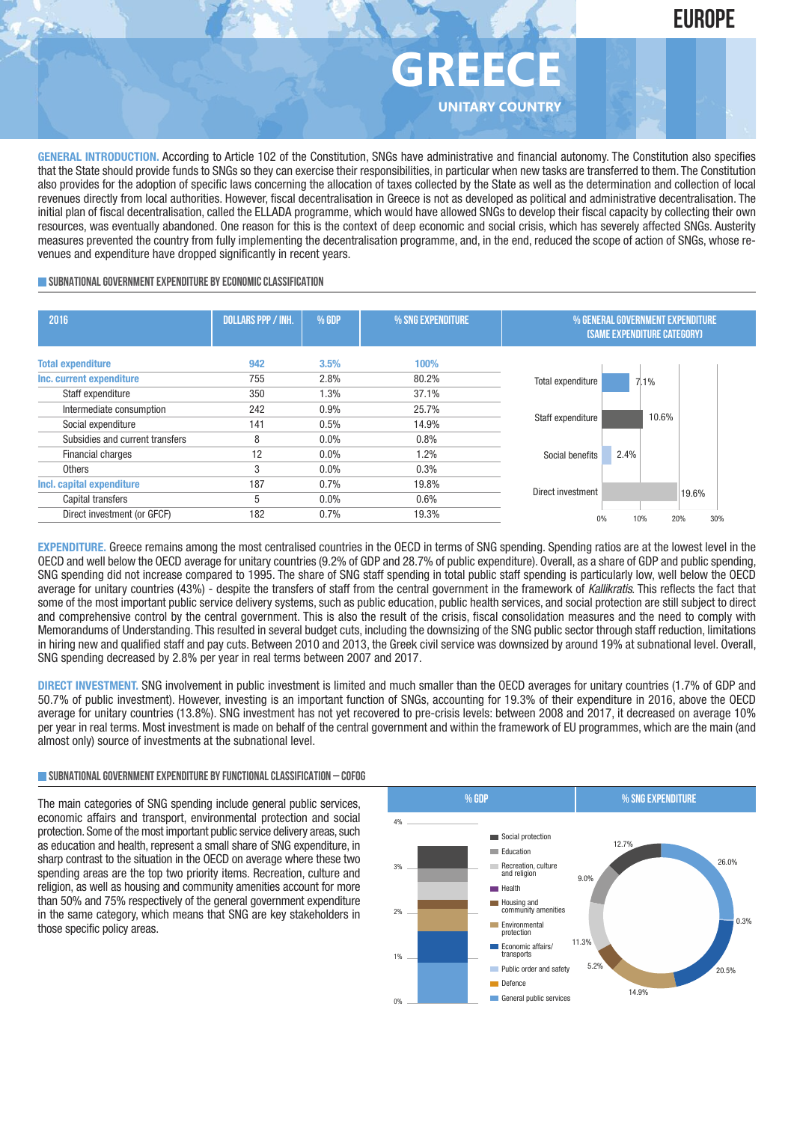

## **GREECE UNITARY COUNTRY**

**GENERAL INTRODUCTION.** According to Article 102 of the Constitution, SNGs have administrative and financial autonomy. The Constitution also specifies that the State should provide funds to SNGs so they can exercise their responsibilities, in particular when new tasks are transferred to them. The Constitution also provides for the adoption of specific laws concerning the allocation of taxes collected by the State as well as the determination and collection of local revenues directly from local authorities. However, fiscal decentralisation in Greece is not as developed as political and administrative decentralisation. The initial plan of fiscal decentralisation, called the ELLADA programme, which would have allowed SNGs to develop their fiscal capacity by collecting their own resources, was eventually abandoned. One reason for this is the context of deep economic and social crisis, which has severely affected SNGs. Austerity measures prevented the country from fully implementing the decentralisation programme, and, in the end, reduced the scope of action of SNGs, whose revenues and expenditure have dropped significantly in recent years.

### **SUBNATIONAL GOVERNMENT EXPENDITURE BY ECONOMIC CLASSIFICATION**

| 2016                            | <b>DOLLARS PPP / INH.</b> | % GDP   | % SNG EXPENDITURE | % GENERAL GOVERNMENT EXPENDITURE<br>(SAME EXPENDITURE CATEGORY) |  |
|---------------------------------|---------------------------|---------|-------------------|-----------------------------------------------------------------|--|
| <b>Total expenditure</b>        | 942                       | 3.5%    | 100%              |                                                                 |  |
| Inc. current expenditure        | 755                       | 2.8%    | 80.2%             | Total expenditure<br>7.1%                                       |  |
| Staff expenditure               | 350                       | 1.3%    | 37.1%             |                                                                 |  |
| Intermediate consumption        | 242                       | 0.9%    | 25.7%             |                                                                 |  |
| Social expenditure              | 141                       | 0.5%    | 14.9%             | 10.6%<br>Staff expenditure                                      |  |
| Subsidies and current transfers | 8                         | $0.0\%$ | 0.8%              |                                                                 |  |
| Financial charges               | 12                        | $0.0\%$ | 1.2%              | 2.4%<br>Social benefits                                         |  |
| <b>Others</b>                   | 3                         | 0.0%    | 0.3%              |                                                                 |  |
| Incl. capital expenditure       | 187                       | 0.7%    | 19.8%             |                                                                 |  |
| Capital transfers               | 5                         | $0.0\%$ | 0.6%              | Direct investment<br>19.6%                                      |  |
| Direct investment (or GFCF)     | 182                       | 0.7%    | 19.3%             | 20%<br>30%<br>10%<br>0%                                         |  |

**EXPENDITURE.** Greece remains among the most centralised countries in the OECD in terms of SNG spending. Spending ratios are at the lowest level in the OECD and well below the OECD average for unitary countries (9.2% of GDP and 28.7% of public expenditure). Overall, as a share of GDP and public spending, SNG spending did not increase compared to 1995. The share of SNG staff spending in total public staff spending is particularly low, well below the OECD average for unitary countries (43%) - despite the transfers of staff from the central government in the framework of *Kallikratis*. This reflects the fact that some of the most important public service delivery systems, such as public education, public health services, and social protection are still subject to direct and comprehensive control by the central government. This is also the result of the crisis, fiscal consolidation measures and the need to comply with Memorandums of Understanding. This resulted in several budget cuts, including the downsizing of the SNG public sector through staff reduction, limitations in hiring new and qualified staff and pay cuts. Between 2010 and 2013, the Greek civil service was downsized by around 19% at subnational level. Overall, SNG spending decreased by 2.8% per year in real terms between 2007 and 2017.

**DIRECT INVESTMENT.** SNG involvement in public investment is limited and much smaller than the OECD averages for unitary countries (1.7% of GDP and 50.7% of public investment). However, investing is an important function of SNGs, accounting for 19.3% of their expenditure in 2016, above the OECD average for unitary countries (13.8%). SNG investment has not yet recovered to pre-crisis levels: between 2008 and 2017, it decreased on average 10% per year in real terms. Most investment is made on behalf of the central government and within the framework of EU programmes, which are the main (and almost only) source of investments at the subnational level.

#### **SUBNATIONALGOVERNMENTEXPENDITURE BYFUNCTIONALCLASSIFICATION – COFOG**

The main categories of SNG spending include general public services, economic affairs and transport, environmental protection and social protection. Some of the most important public service delivery areas, such as education and health, represent a small share of SNG expenditure, in sharp contrast to the situation in the OECD on average where these two spending areas are the top two priority items. Recreation, culture and religion, as well as housing and community amenities account for more than 50% and 75% respectively of the general government expenditure in the same category, which means that SNG are key stakeholders in those specific policy areas.